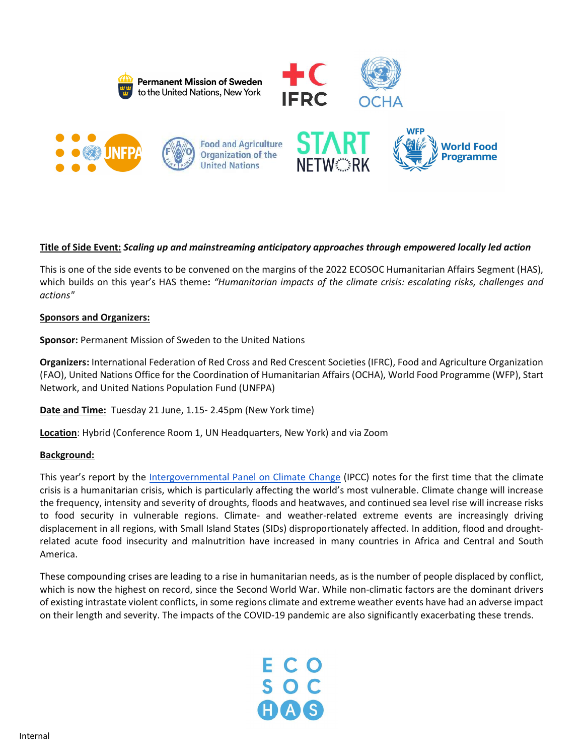









## Title of Side Event: Scaling up and mainstreaming anticipatory approaches through empowered locally led action

This is one of the side events to be convened on the margins of the 2022 ECOSOC Humanitarian Affairs Segment (HAS), which builds on this year's HAS theme: "Humanitarian impacts of the climate crisis: escalating risks, challenges and actions"

#### Sponsors and Organizers:

Sponsor: Permanent Mission of Sweden to the United Nations

Organizers: International Federation of Red Cross and Red Crescent Societies (IFRC), Food and Agriculture Organization (FAO), United Nations Office for the Coordination of Humanitarian Affairs (OCHA), World Food Programme (WFP), Start Network, and United Nations Population Fund (UNFPA)

Date and Time: Tuesday 21 June, 1.15- 2.45pm (New York time)

Location: Hybrid (Conference Room 1, UN Headquarters, New York) and via Zoom

#### Background:

This year's report by the Intergovernmental Panel on Climate Change (IPCC) notes for the first time that the climate crisis is a humanitarian crisis, which is particularly affecting the world's most vulnerable. Climate change will increase the frequency, intensity and severity of droughts, floods and heatwaves, and continued sea level rise will increase risks to food security in vulnerable regions. Climate- and weather-related extreme events are increasingly driving displacement in all regions, with Small Island States (SIDs) disproportionately affected. In addition, flood and droughtrelated acute food insecurity and malnutrition have increased in many countries in Africa and Central and South America.

These compounding crises are leading to a rise in humanitarian needs, as is the number of people displaced by conflict, which is now the highest on record, since the Second World War. While non-climatic factors are the dominant drivers of existing intrastate violent conflicts, in some regions climate and extreme weather events have had an adverse impact on their length and severity. The impacts of the COVID-19 pandemic are also significantly exacerbating these trends.

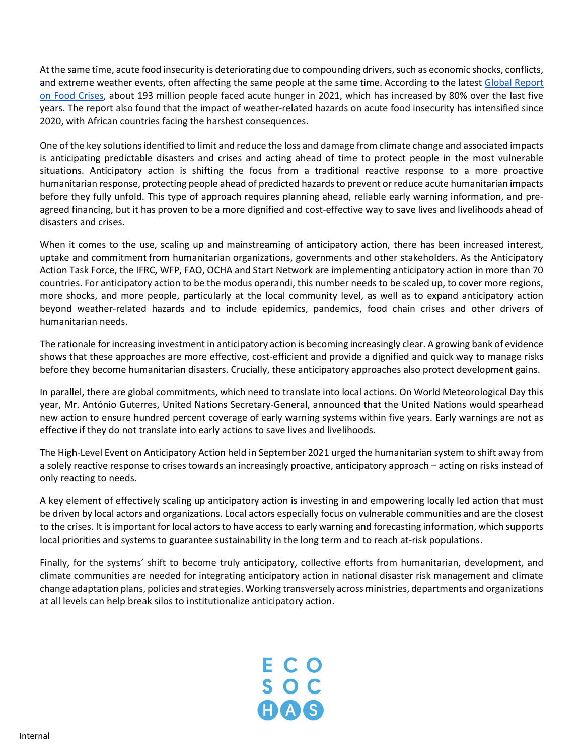At the same time, acute food insecurity is deteriorating due to compounding drivers, such as economic shocks, conflicts, and extreme weather events, often affecting the same people at the same time. According to the latest Global Report on Food Crises, about 193 million people faced acute hunger in 2021, which has increased by 80% over the last five years. The report also found that the impact of weather-related hazards on acute food insecurity has intensified since 2020, with African countries facing the harshest consequences.

One of the key solutions identified to limit and reduce the loss and damage from climate change and associated impacts is anticipating predictable disasters and crises and acting ahead of time to protect people in the most vulnerable situations. Anticipatory action is shifting the focus from a traditional reactive response to a more proactive humanitarian response, protecting people ahead of predicted hazards to prevent or reduce acute humanitarian impacts before they fully unfold. This type of approach requires planning ahead, reliable early warning information, and preagreed financing, but it has proven to be a more dignified and cost-effective way to save lives and livelihoods ahead of disasters and crises.

When it comes to the use, scaling up and mainstreaming of anticipatory action, there has been increased interest, uptake and commitment from humanitarian organizations, governments and other stakeholders. As the Anticipatory Action Task Force, the IFRC, WFP, FAO, OCHA and Start Network are implementing anticipatory action in more than 70 countries. For anticipatory action to be the modus operandi, this number needs to be scaled up, to cover more regions, more shocks, and more people, particularly at the local community level, as well as to expand anticipatory action beyond weather-related hazards and to include epidemics, pandemics, food chain crises and other drivers of humanitarian needs.

The rationale for increasing investment in anticipatory action is becoming increasingly clear. A growing bank of evidence shows that these approaches are more effective, cost-efficient and provide a dignified and quick way to manage risks before they become humanitarian disasters. Crucially, these anticipatory approaches also protect development gains.

In parallel, there are global commitments, which need to translate into local actions. On World Meteorological Day this year, Mr. António Guterres, United Nations Secretary-General, announced that the United Nations would spearhead new action to ensure hundred percent coverage of early warning systems within five years. Early warnings are not as effective if they do not translate into early actions to save lives and livelihoods.

The High-Level Event on Anticipatory Action held in September 2021 urged the humanitarian system to shift away from a solely reactive response to crises towards an increasingly proactive, anticipatory approach – acting on risks instead of only reacting to needs.

A key element of effectively scaling up anticipatory action is investing in and empowering locally led action that must be driven by local actors and organizations. Local actors especially focus on vulnerable communities and are the closest to the crises. It is important for local actors to have access to early warning and forecasting information, which supports local priorities and systems to guarantee sustainability in the long term and to reach at-risk populations.

Finally, for the systems' shift to become truly anticipatory, collective efforts from humanitarian, development, and climate communities are needed for integrating anticipatory action in national disaster risk management and climate change adaptation plans, policies and strategies. Working transversely across ministries, departments and organizations at all levels can help break silos to institutionalize anticipatory action.

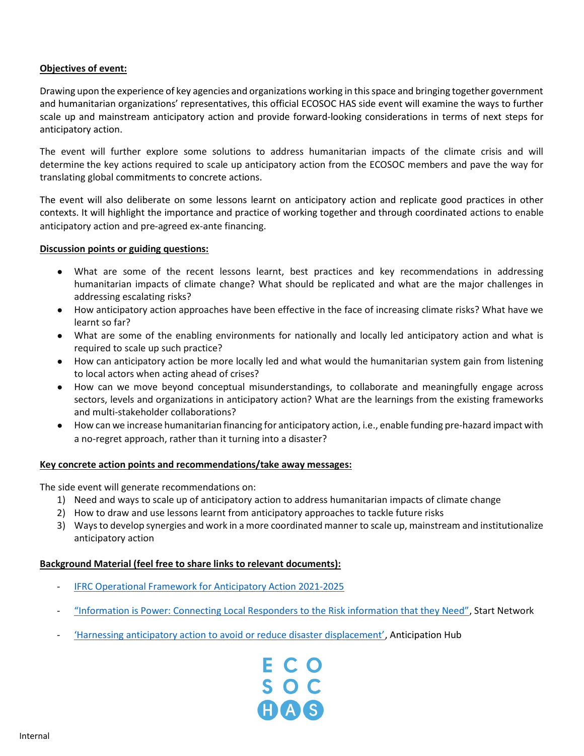## Objectives of event:

Drawing upon the experience of key agencies and organizations working in this space and bringing together government and humanitarian organizations' representatives, this official ECOSOC HAS side event will examine the ways to further scale up and mainstream anticipatory action and provide forward-looking considerations in terms of next steps for anticipatory action.

The event will further explore some solutions to address humanitarian impacts of the climate crisis and will determine the key actions required to scale up anticipatory action from the ECOSOC members and pave the way for translating global commitments to concrete actions.

The event will also deliberate on some lessons learnt on anticipatory action and replicate good practices in other contexts. It will highlight the importance and practice of working together and through coordinated actions to enable anticipatory action and pre-agreed ex-ante financing.

## Discussion points or guiding questions:

- What are some of the recent lessons learnt, best practices and key recommendations in addressing humanitarian impacts of climate change? What should be replicated and what are the major challenges in addressing escalating risks?
- How anticipatory action approaches have been effective in the face of increasing climate risks? What have we learnt so far?
- What are some of the enabling environments for nationally and locally led anticipatory action and what is required to scale up such practice?
- How can anticipatory action be more locally led and what would the humanitarian system gain from listening to local actors when acting ahead of crises?
- How can we move beyond conceptual misunderstandings, to collaborate and meaningfully engage across sectors, levels and organizations in anticipatory action? What are the learnings from the existing frameworks and multi-stakeholder collaborations?
- How can we increase humanitarian financing for anticipatory action, i.e., enable funding pre-hazard impact with a no-regret approach, rather than it turning into a disaster?

## Key concrete action points and recommendations/take away messages:

The side event will generate recommendations on:

- 1) Need and ways to scale up of anticipatory action to address humanitarian impacts of climate change
- 2) How to draw and use lessons learnt from anticipatory approaches to tackle future risks
- 3) Ways to develop synergies and work in a more coordinated manner to scale up, mainstream and institutionalize anticipatory action

# Background Material (feel free to share links to relevant documents):

- IFRC Operational Framework for Anticipatory Action 2021-2025
- "Information is Power: Connecting Local Responders to the Risk information that they Need", Start Network
- 'Harnessing anticipatory action to avoid or reduce disaster displacement', Anticipation Hub